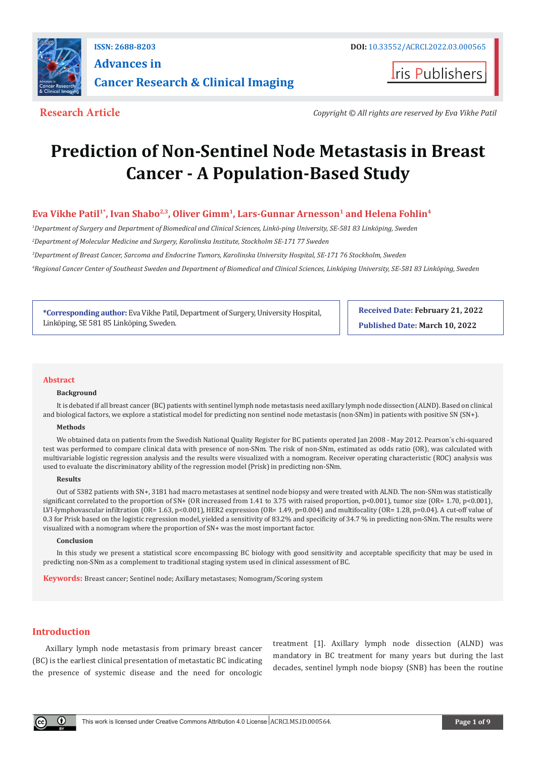

## **ISSN: 2688-8203 DOI:** [10.33552/ACRCI.2022.03.000565](http://dx.doi.org/10.33552/ACRCI.2022.03.000565) **Advances in Cancer Research & Clinical Imaging**

**Iris Publishers** 

**Research Article** *Copyright © All rights are reserved by Eva Vikhe Patil*

# **Prediction of Non-Sentinel Node Metastasis in Breast Cancer - A Population-Based Study**

### Eva Vikhe Patil<sup>1\*</sup>, Ivan Shabo<sup>2,3</sup>, Oliver Gimm<sup>1</sup>, Lars-Gunnar Arnesson<sup>1</sup> and Helena Fohlin<sup>4</sup>

*1 Department of Surgery and Department of Biomedical and Clinical Sciences, Linkö-ping University, SE-581 83 Linköping, Sweden*

*2 Department of Molecular Medicine and Surgery, Karolinska Institute, Stockholm SE-171 77 Sweden*

*3 Department of Breast Cancer, Sarcoma and Endocrine Tumors, Karolinska University Hospital, SE-171 76 Stockholm, Sweden*

*4 Regional Cancer Center of Southeast Sweden and Department of Biomedical and Clinical Sciences, Linköping University, SE-581 83 Linköping, Sweden*

**\*Corresponding author:** Eva Vikhe Patil, Department of Surgery, University Hospital, Linköping, SE 581 85 Linköping, Sweden.

**Received Date: February 21, 2022 Published Date: March 10, 2022**

#### **Abstract**

#### **Background**

It is debated if all breast cancer (BC) patients with sentinel lymph node metastasis need axillary lymph node dissection (ALND). Based on clinical and biological factors, we explore a statistical model for predicting non sentinel node metastasis (non-SNm) in patients with positive SN (SN+).

#### **Methods**

We obtained data on patients from the Swedish National Quality Register for BC patients operated Jan 2008 - May 2012. Pearson´s chi-squared test was performed to compare clinical data with presence of non-SNm. The risk of non-SNm, estimated as odds ratio (OR), was calculated with multivariable logistic regression analysis and the results were visualized with a nomogram. Receiver operating characteristic (ROC) analysis was used to evaluate the discriminatory ability of the regression model (Prisk) in predicting non-SNm.

#### **Results**

Out of 5382 patients with SN+, 3181 had macro metastases at sentinel node biopsy and were treated with ALND. The non-SNm was statistically significant correlated to the proportion of SN+ (OR increased from 1.41 to 3.75 with raised proportion, p<0.001), tumor size (OR= 1.70, p<0.001), LVI-lymphovascular infiltration (OR= 1.63, p<0.001), HER2 expression (OR= 1.49, p=0.004) and multifocality (OR= 1.28, p=0.04). A cut-off value of 0.3 for Prisk based on the logistic regression model, yielded a sensitivity of 83.2% and specificity of 34.7 % in predicting non-SNm. The results were visualized with a nomogram where the proportion of SN+ was the most important factor.

#### **Conclusion**

In this study we present a statistical score encompassing BC biology with good sensitivity and acceptable specificity that may be used in predicting non-SNm as a complement to traditional staging system used in clinical assessment of BC.

**Keywords:** Breast cancer; Sentinel node; Axillary metastases; Nomogram/Scoring system

#### **Introduction**

Axillary lymph node metastasis from primary breast cancer (BC) is the earliest clinical presentation of metastatic BC indicating the presence of systemic disease and the need for oncologic treatment [1]. Axillary lymph node dissection (ALND) was mandatory in BC treatment for many years but during the last decades, sentinel lymph node biopsy (SNB) has been the routine

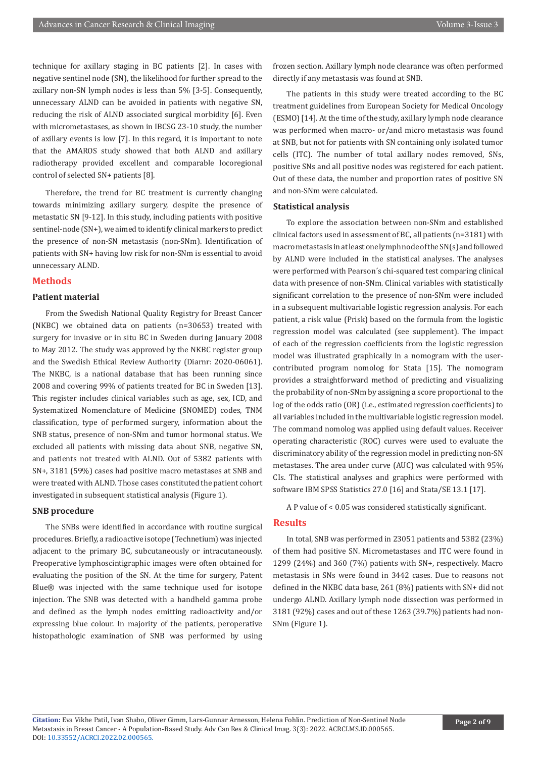technique for axillary staging in BC patients [2]. In cases with negative sentinel node (SN), the likelihood for further spread to the axillary non-SN lymph nodes is less than 5% [3-5]. Consequently, unnecessary ALND can be avoided in patients with negative SN, reducing the risk of ALND associated surgical morbidity [6]. Even with micrometastases, as shown in IBCSG 23-10 study, the number of axillary events is low [7]. In this regard, it is important to note that the AMAROS study showed that both ALND and axillary radiotherapy provided excellent and comparable locoregional control of selected SN+ patients [8].

Therefore, the trend for BC treatment is currently changing towards minimizing axillary surgery, despite the presence of metastatic SN [9-12]. In this study, including patients with positive sentinel-node (SN+), we aimed to identify clinical markers to predict the presence of non-SN metastasis (non-SNm). Identification of patients with SN+ having low risk for non-SNm is essential to avoid unnecessary ALND.

#### **Methods**

#### **Patient material**

From the Swedish National Quality Registry for Breast Cancer (NKBC) we obtained data on patients (n=30653) treated with surgery for invasive or in situ BC in Sweden during January 2008 to May 2012. The study was approved by the NKBC register group and the Swedish Ethical Review Authority (Diarnr: 2020-06061). The NKBC, is a national database that has been running since 2008 and covering 99% of patients treated for BC in Sweden [13]. This register includes clinical variables such as age, sex, ICD, and Systematized Nomenclature of Medicine (SNOMED) codes, TNM classification, type of performed surgery, information about the SNB status, presence of non-SNm and tumor hormonal status. We excluded all patients with missing data about SNB, negative SN, and patients not treated with ALND. Out of 5382 patients with SN+, 3181 (59%) cases had positive macro metastases at SNB and were treated with ALND. Those cases constituted the patient cohort investigated in subsequent statistical analysis (Figure 1).

#### **SNB procedure**

The SNBs were identified in accordance with routine surgical procedures. Briefly, a radioactive isotope (Technetium) was injected adjacent to the primary BC, subcutaneously or intracutaneously. Preoperative lymphoscintigraphic images were often obtained for evaluating the position of the SN. At the time for surgery, Patent Blue® was injected with the same technique used for isotope injection. The SNB was detected with a handheld gamma probe and defined as the lymph nodes emitting radioactivity and/or expressing blue colour. In majority of the patients, peroperative histopathologic examination of SNB was performed by using frozen section. Axillary lymph node clearance was often performed directly if any metastasis was found at SNB.

The patients in this study were treated according to the BC treatment guidelines from European Society for Medical Oncology (ESMO) [14]. At the time of the study, axillary lymph node clearance was performed when macro- or/and micro metastasis was found at SNB, but not for patients with SN containing only isolated tumor cells (ITC). The number of total axillary nodes removed, SNs, positive SNs and all positive nodes was registered for each patient. Out of these data, the number and proportion rates of positive SN and non-SNm were calculated.

#### **Statistical analysis**

To explore the association between non-SNm and established clinical factors used in assessment of BC, all patients (n=3181) with macro metastasis in at least one lymph node of the SN(s) and followed by ALND were included in the statistical analyses. The analyses were performed with Pearson´s chi-squared test comparing clinical data with presence of non-SNm. Clinical variables with statistically significant correlation to the presence of non-SNm were included in a subsequent multivariable logistic regression analysis. For each patient, a risk value (Prisk) based on the formula from the logistic regression model was calculated (see supplement). The impact of each of the regression coefficients from the logistic regression model was illustrated graphically in a nomogram with the usercontributed program nomolog for Stata [15]. The nomogram provides a straightforward method of predicting and visualizing the probability of non-SNm by assigning a score proportional to the log of the odds ratio (OR) (i.e., estimated regression coefficients) to all variables included in the multivariable logistic regression model. The command nomolog was applied using default values. Receiver operating characteristic (ROC) curves were used to evaluate the discriminatory ability of the regression model in predicting non-SN metastases. The area under curve (AUC) was calculated with 95% CIs. The statistical analyses and graphics were performed with software IBM SPSS Statistics 27.0 [16] and Stata/SE 13.1 [17].

A P value of < 0.05 was considered statistically significant.

#### **Results**

In total, SNB was performed in 23051 patients and 5382 (23%) of them had positive SN. Micrometastases and ITC were found in 1299 (24%) and 360 (7%) patients with SN+, respectively. Macro metastasis in SNs were found in 3442 cases. Due to reasons not defined in the NKBC data base, 261 (8%) patients with SN+ did not undergo ALND. Axillary lymph node dissection was performed in 3181 (92%) cases and out of these 1263 (39.7%) patients had non-SNm (Figure 1).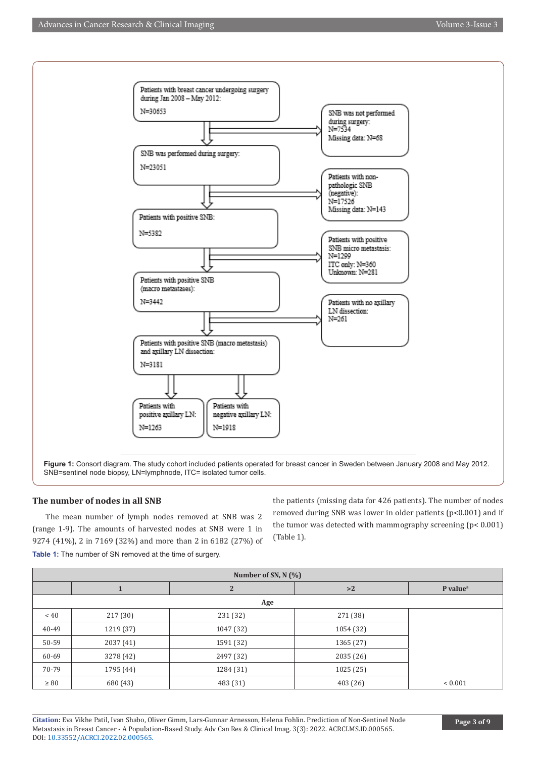

#### **The number of nodes in all SNB**

The mean number of lymph nodes removed at SNB was 2 (range 1-9). The amounts of harvested nodes at SNB were 1 in 9274 (41%), 2 in 7169 (32%) and more than 2 in 6182 (27%) of **Table 1:** The number of SN removed at the time of surgery.

the patients (missing data for 426 patients). The number of nodes removed during SNB was lower in older patients (p<0.001) and if the tumor was detected with mammography screening (p< 0.001) (Table 1).

| Number of SN, $N$ (%) |           |                |           |                                     |
|-----------------------|-----------|----------------|-----------|-------------------------------------|
|                       |           | $\overline{2}$ | >2        | $P$ value <sup><math>a</math></sup> |
| Age                   |           |                |           |                                     |
| ~< 40                 | 217 (30)  | 231 (32)       | 271 (38)  |                                     |
| 40-49                 | 1219 (37) | 1047 (32)      | 1054 (32) |                                     |
| 50-59                 | 2037(41)  | 1591 (32)      | 1365 (27) |                                     |
| 60-69                 | 3278 (42) | 2497 (32)      | 2035(26)  |                                     |
| 70-79                 | 1795 (44) | 1284 (31)      | 1025(25)  |                                     |
| $\geq 80$             | 680 (43)  | 483 (31)       | 403 (26)  | ${}< 0.001$                         |

**Citation:** Eva Vikhe Patil, Ivan Shabo, Oliver Gimm, Lars-Gunnar Arnesson, Helena Fohlin. Prediction of Non-Sentinel Node Metastasis in Breast Cancer - A Population-Based Study. Adv Can Res & Clinical Imag. 3(3): 2022. ACRCI.MS.ID.000565. DOI: [10.33552/ACRCI.2022.02.000565.](http://dx.doi.org/10.33552/ACRCI.2022.03.000565)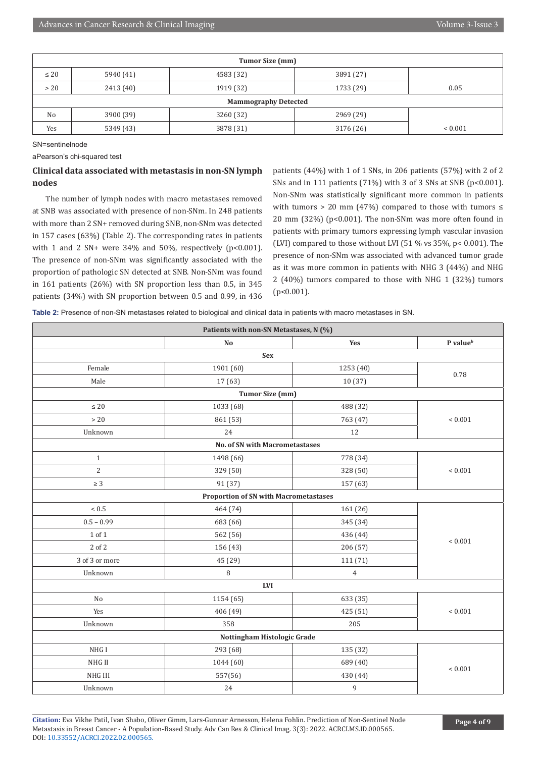| Tumor Size (mm)             |           |           |           |              |  |
|-----------------------------|-----------|-----------|-----------|--------------|--|
| $\leq 20$                   | 5940 (41) | 4583 (32) | 3891 (27) |              |  |
| > 20                        | 2413 (40) | 1919 (32) | 1733 (29) | 0.05         |  |
| <b>Mammography Detected</b> |           |           |           |              |  |
| N <sub>0</sub>              | 3900 (39) | 3260 (32) | 2969 (29) |              |  |
| Yes                         | 5349 (43) | 3878 (31) | 3176 (26) | ${}_{0.001}$ |  |

SN=sentinelnode

aPearson's chi-squared test

#### **Clinical data associated with metastasis in non-SN lymph nodes**

The number of lymph nodes with macro metastases removed at SNB was associated with presence of non-SNm. In 248 patients with more than 2 SN+ removed during SNB, non-SNm was detected in 157 cases (63%) (Table 2). The corresponding rates in patients with 1 and 2 SN+ were  $34\%$  and  $50\%$ , respectively (p<0.001). The presence of non-SNm was significantly associated with the proportion of pathologic SN detected at SNB. Non-SNm was found in 161 patients (26%) with SN proportion less than 0.5, in 345 patients (34%) with SN proportion between 0.5 and 0.99, in 436

patients (44%) with 1 of 1 SNs, in 206 patients (57%) with 2 of 2 SNs and in 111 patients  $(71%)$  with 3 of 3 SNs at SNB (p<0.001). Non-SNm was statistically significant more common in patients with tumors > 20 mm (47%) compared to those with tumors  $\le$ 20 mm (32%) (p<0.001). The non-SNm was more often found in patients with primary tumors expressing lymph vascular invasion (LVI) compared to those without LVI (51 % vs 35%, p< 0.001). The presence of non-SNm was associated with advanced tumor grade as it was more common in patients with NHG 3 (44%) and NHG 2 (40%) tumors compared to those with NHG 1 (32%) tumors (p<0.001).

**Table 2:** Presence of non-SN metastases related to biological and clinical data in patients with macro metastases in SN.

| Patients with non-SN Metastases, N (%)       |                                       |           |                      |  |  |
|----------------------------------------------|---------------------------------------|-----------|----------------------|--|--|
|                                              | No                                    | Yes       | P value <sup>b</sup> |  |  |
|                                              | <b>Sex</b>                            |           |                      |  |  |
| Female                                       | 1901 (60)                             | 1253 (40) | 0.78                 |  |  |
| Male                                         | 17(63)                                | 10(37)    |                      |  |  |
|                                              | <b>Tumor Size (mm)</b>                |           |                      |  |  |
| $\leq 20$                                    | 1033 (68)                             | 488 (32)  |                      |  |  |
| $>20\,$                                      | 861 (53)                              | 763 (47)  | $< 0.001$            |  |  |
| Unknown                                      | 24                                    | 12        |                      |  |  |
|                                              | <b>No. of SN with Macrometastases</b> |           |                      |  |  |
| $\mathbf{1}$                                 | 1498 (66)                             | 778 (34)  |                      |  |  |
| $\overline{c}$                               | 329 (50)                              | 328 (50)  | ${}< 0.001$          |  |  |
| $\geq 3$                                     | 91 (37)                               | 157 (63)  |                      |  |  |
| <b>Proportion of SN with Macrometastases</b> |                                       |           |                      |  |  |
| $< 0.5$                                      | 464 (74)                              | 161 (26)  |                      |  |  |
| $0.5 - 0.99$                                 | 683 (66)                              | 345 (34)  |                      |  |  |
| 1 of 1                                       | 562 (56)                              | 436 (44)  | ${}< 0.001$          |  |  |
| 2 of 2                                       | 156 (43)                              | 206 (57)  |                      |  |  |
| 3 of 3 or more                               | 45 (29)                               | 111 (71)  |                      |  |  |
| Unknown                                      | $\, 8$                                | 4         |                      |  |  |
| $\mathbf{LVI}$                               |                                       |           |                      |  |  |
| No                                           | 1154 (65)                             | 633 (35)  |                      |  |  |
| Yes                                          | 406 (49)                              | 425 (51)  | $< 0.001$            |  |  |
| Unknown                                      | 358                                   | 205       |                      |  |  |
| Nottingham Histologic Grade                  |                                       |           |                      |  |  |
| NHG I                                        | 293 (68)                              | 135 (32)  |                      |  |  |
| NHG II                                       | 1044 (60)                             | 689 (40)  | $< 0.001$            |  |  |
| NHG III                                      | 557(56)                               | 430 (44)  |                      |  |  |
| Unknown                                      | 24                                    | 9         |                      |  |  |

**Citation:** Eva Vikhe Patil, Ivan Shabo, Oliver Gimm, Lars-Gunnar Arnesson, Helena Fohlin. Prediction of Non-Sentinel Node Metastasis in Breast Cancer - A Population-Based Study. Adv Can Res & Clinical Imag. 3(3): 2022. ACRCI.MS.ID.000565. DOI: [10.33552/ACRCI.2022.02.000565.](http://dx.doi.org/10.33552/ACRCI.2022.03.000565)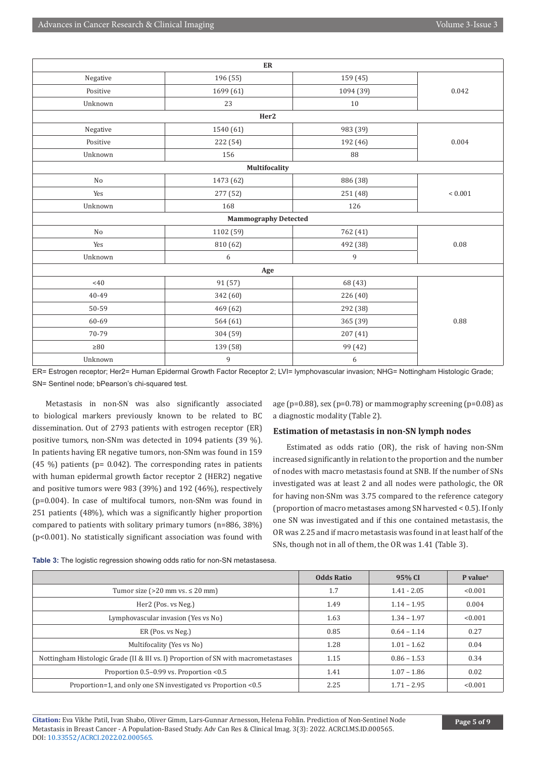| ${\rm ER}$                  |               |           |           |  |
|-----------------------------|---------------|-----------|-----------|--|
| Negative                    | 196 (55)      | 159 (45)  |           |  |
| Positive                    | 1699 (61)     | 1094 (39) | 0.042     |  |
| Unknown                     | 23            | 10        |           |  |
|                             | Her2          |           |           |  |
| Negative                    | 1540 (61)     | 983 (39)  |           |  |
| Positive                    | 222 (54)      | 192 (46)  | 0.004     |  |
| Unknown                     | 156           | 88        |           |  |
|                             | Multifocality |           |           |  |
| No                          | 1473 (62)     | 886 (38)  |           |  |
| Yes                         | 277 (52)      | 251 (48)  | $< 0.001$ |  |
| Unknown                     | 168           | 126       |           |  |
| <b>Mammography Detected</b> |               |           |           |  |
| No                          | 1102 (59)     | 762 (41)  |           |  |
| Yes                         | 810 (62)      | 492 (38)  | 0.08      |  |
| Unknown                     | 6             | 9         |           |  |
| Age                         |               |           |           |  |
| <40                         | 91 (57)       | 68 (43)   |           |  |
| 40-49                       | 342 (60)      | 226 (40)  |           |  |
| 50-59                       | 469 (62)      | 292 (38)  |           |  |
|                             |               |           |           |  |
| 60-69                       | 564 (61)      | 365 (39)  | 0.88      |  |
| 70-79                       | 304 (59)      | 207 (41)  |           |  |
| $\geq 80$                   | 139 (58)      | 99 (42)   |           |  |

ER= Estrogen receptor; Her2= Human Epidermal Growth Factor Receptor 2; LVI= lymphovascular invasion; NHG= Nottingham Histologic Grade; SN= Sentinel node; bPearson's chi-squared test.

Metastasis in non-SN was also significantly associated to biological markers previously known to be related to BC dissemination. Out of 2793 patients with estrogen receptor (ER) positive tumors, non-SNm was detected in 1094 patients (39 %). In patients having ER negative tumors, non-SNm was found in 159 (45 %) patients ( $p= 0.042$ ). The corresponding rates in patients with human epidermal growth factor receptor 2 (HER2) negative and positive tumors were 983 (39%) and 192 (46%), respectively (p=0.004). In case of multifocal tumors, non-SNm was found in 251 patients (48%), which was a significantly higher proportion compared to patients with solitary primary tumors (n=886, 38%) (p<0.001). No statistically significant association was found with

age (p=0.88), sex (p=0.78) or mammography screening (p=0.08) as a diagnostic modality (Table 2).

#### **Estimation of metastasis in non-SN lymph nodes**

Estimated as odds ratio (OR), the risk of having non-SNm increased significantly in relation to the proportion and the number of nodes with macro metastasis found at SNB. If the number of SNs investigated was at least 2 and all nodes were pathologic, the OR for having non-SNm was 3.75 compared to the reference category (proportion of macro metastases among SN harvested < 0.5). If only one SN was investigated and if this one contained metastasis, the OR was 2.25 and if macro metastasis was found in at least half of the SNs, though not in all of them, the OR was 1.41 (Table 3).

|                                                                                    | <b>Odds Ratio</b> | 95% CI        | P value <sup>a</sup> |
|------------------------------------------------------------------------------------|-------------------|---------------|----------------------|
| Tumor size ( $>20$ mm vs. $\leq 20$ mm)                                            | 1.7               | $1.41 - 2.05$ | < 0.001              |
| Her2 (Pos. vs Neg.)                                                                | 1.49              | $1.14 - 1.95$ | 0.004                |
| Lymphovascular invasion (Yes vs No)                                                | 1.63              | $1.34 - 1.97$ | < 0.001              |
| ER (Pos. vs Neg.)                                                                  | 0.85              | $0.64 - 1.14$ | 0.27                 |
| Multifocality (Yes vs No)                                                          | 1.28              | $1.01 - 1.62$ | 0.04                 |
| Nottingham Histologic Grade (II & III vs. I) Proportion of SN with macrometastases | 1.15              | $0.86 - 1.53$ | 0.34                 |
| Proportion 0.5-0.99 vs. Proportion <0.5                                            | 1.41              | $1.07 - 1.86$ | 0.02                 |
| Proportion=1, and only one SN investigated vs Proportion <0.5                      | 2.25              | $1.71 - 2.95$ | < 0.001              |

**Table 3:** The logistic regression showing odds ratio for non-SN metastasesa.

**Citation:** Eva Vikhe Patil, Ivan Shabo, Oliver Gimm, Lars-Gunnar Arnesson, Helena Fohlin. Prediction of Non-Sentinel Node Metastasis in Breast Cancer - A Population-Based Study. Adv Can Res & Clinical Imag. 3(3): 2022. ACRCI.MS.ID.000565. DOI: [10.33552/ACRCI.2022.02.000565.](http://dx.doi.org/10.33552/ACRCI.2022.03.000565)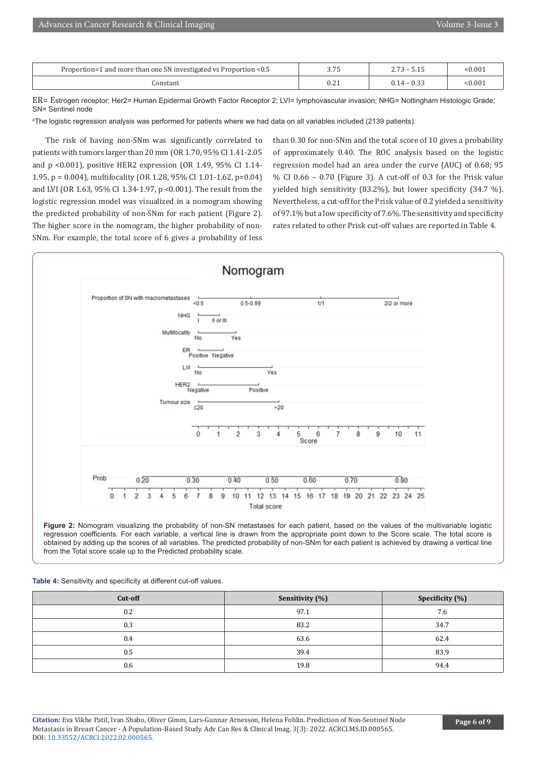| Proportion=1 and more than one SN investigated vs Proportion <0.5 | $\sim$ $\sim$ $\sim$<br>J. / J | - - -<br>$\overline{\phantom{0}}$<br>د ، ، ، | < 0.00  |
|-------------------------------------------------------------------|--------------------------------|----------------------------------------------|---------|
| onstant                                                           | י הי<br>0.4 l                  | 0.22<br>14 - U.S.S                           | < 0.001 |

ER= Estrogen receptor; Her2= Human Epidermal Growth Factor Receptor 2; LVI= lymphovascular invasion; NHG= Nottingham Histologic Grade; SN= Sentinel node

a The logistic regression analysis was performed for patients where we had data on all variables included (2139 patients).

The risk of having non-SNm was significantly correlated to patients with tumors larger than 20 mm (OR 1.70, 95% CI 1.41-2.05 and p <0.001), positive HER2 expression (OR 1.49, 95% CI 1.14- 1.95, p = 0.004), multifocality (OR 1.28, 95% CI 1.01-1.62, p=0.04) and LVI (OR 1.63, 95% CI 1.34-1.97, p <0.001). The result from the logistic regression model was visualized in a nomogram showing the predicted probability of non-SNm for each patient (Figure 2). The higher score in the nomogram, the higher probability of non-SNm. For example, the total score of 6 gives a probability of less

than 0.30 for non-SNm and the total score of 10 gives a probability of approximately 0.40. The ROC analysis based on the logistic regression model had an area under the curve (AUC) of 0.68; 95 % CI 0.66 – 0.70 (Figure 3). A cut-off of 0.3 for the Prisk value yielded high sensitivity (83.2%), but lower specificity (34.7 %). Nevertheless, a cut-off for the Prisk value of 0.2 yielded a sensitivity of 97.1% but a low specificity of 7.6%. The sensitivity and specificity rates related to other Prisk cut-off values are reported in Table 4.



**Figure 2:** Nomogram visualizing the probability of non-SN metastases for each patient, based on the values of the multivariable logistic regression coefficients. For each variable, a vertical line is drawn from the appropriate point down to the Score scale. The total score is obtained by adding up the scores of all variables. The predicted probability of non-SNm for each patient is achieved by drawing a vertical line from the Total score scale up to the Predicted probability scale.

#### **Table 4:** Sensitivity and specificity at different cut-off values.

| Cut-off | Sensitivity (%) | Specificity (%) |
|---------|-----------------|-----------------|
| 0.2     | 97.1            | 7.6             |
| 0.3     | 83.2            | 34.7            |
| 0.4     | 63.6            | 62.4            |
| 0.5     | 39.4            | 83.9            |
| 0.6     | 19.8            | 94.4            |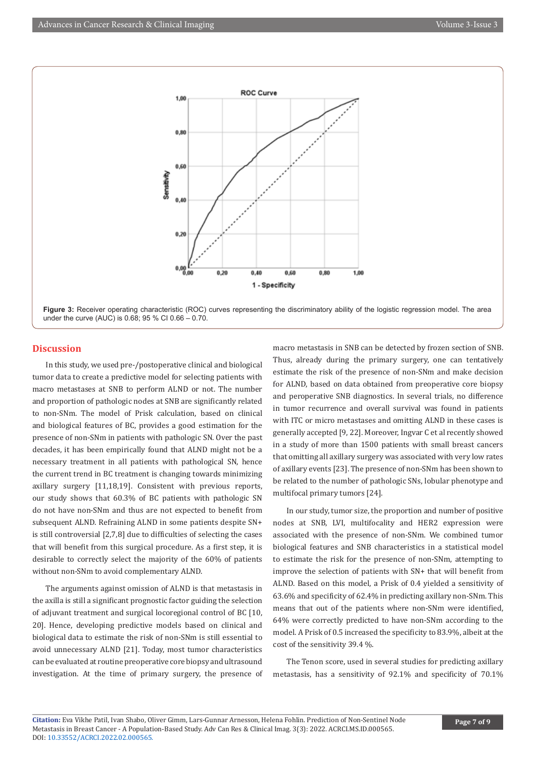



#### **Discussion**

In this study, we used pre-/postoperative clinical and biological tumor data to create a predictive model for selecting patients with macro metastases at SNB to perform ALND or not. The number and proportion of pathologic nodes at SNB are significantly related to non-SNm. The model of Prisk calculation, based on clinical and biological features of BC, provides a good estimation for the presence of non-SNm in patients with pathologic SN. Over the past decades, it has been empirically found that ALND might not be a necessary treatment in all patients with pathological SN, hence the current trend in BC treatment is changing towards minimizing axillary surgery [11,18,19]. Consistent with previous reports, our study shows that 60.3% of BC patients with pathologic SN do not have non-SNm and thus are not expected to benefit from subsequent ALND. Refraining ALND in some patients despite SN+ is still controversial [2,7,8] due to difficulties of selecting the cases that will benefit from this surgical procedure. As a first step, it is desirable to correctly select the majority of the 60% of patients without non-SNm to avoid complementary ALND.

The arguments against omission of ALND is that metastasis in the axilla is still a significant prognostic factor guiding the selection of adjuvant treatment and surgical locoregional control of BC [10, 20]. Hence, developing predictive models based on clinical and biological data to estimate the risk of non-SNm is still essential to avoid unnecessary ALND [21]. Today, most tumor characteristics can be evaluated at routine preoperative core biopsy and ultrasound investigation. At the time of primary surgery, the presence of macro metastasis in SNB can be detected by frozen section of SNB. Thus, already during the primary surgery, one can tentatively estimate the risk of the presence of non-SNm and make decision for ALND, based on data obtained from preoperative core biopsy and peroperative SNB diagnostics. In several trials, no difference in tumor recurrence and overall survival was found in patients with ITC or micro metastases and omitting ALND in these cases is generally accepted [9, 22]. Moreover, Ingvar C et al recently showed in a study of more than 1500 patients with small breast cancers that omitting all axillary surgery was associated with very low rates of axillary events [23]. The presence of non-SNm has been shown to be related to the number of pathologic SNs, lobular phenotype and multifocal primary tumors [24].

In our study, tumor size, the proportion and number of positive nodes at SNB, LVI, multifocality and HER2 expression were associated with the presence of non-SNm. We combined tumor biological features and SNB characteristics in a statistical model to estimate the risk for the presence of non-SNm, attempting to improve the selection of patients with SN+ that will benefit from ALND. Based on this model, a Prisk of 0.4 yielded a sensitivity of 63.6% and specificity of 62.4% in predicting axillary non-SNm. This means that out of the patients where non-SNm were identified, 64% were correctly predicted to have non-SNm according to the model. A Prisk of 0.5 increased the specificity to 83.9%, albeit at the cost of the sensitivity 39.4 %.

The Tenon score, used in several studies for predicting axillary metastasis, has a sensitivity of 92.1% and specificity of 70.1%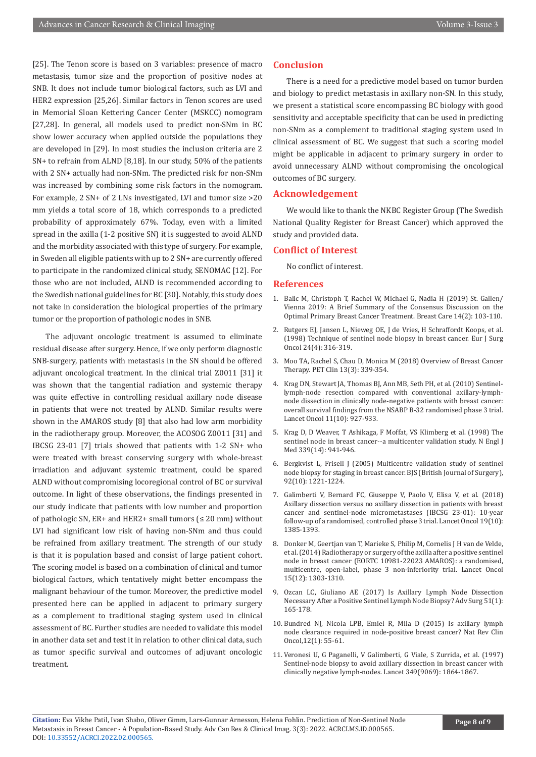[25]. The Tenon score is based on 3 variables: presence of macro metastasis, tumor size and the proportion of positive nodes at SNB. It does not include tumor biological factors, such as LVI and HER2 expression [25,26]. Similar factors in Tenon scores are used in Memorial Sloan Kettering Cancer Center (MSKCC) nomogram [27,28]. In general, all models used to predict non-SNm in BC show lower accuracy when applied outside the populations they are developed in [29]. In most studies the inclusion criteria are 2 SN+ to refrain from ALND [8,18]. In our study, 50% of the patients with 2 SN+ actually had non-SNm. The predicted risk for non-SNm was increased by combining some risk factors in the nomogram. For example, 2 SN+ of 2 LNs investigated, LVI and tumor size >20 mm yields a total score of 18, which corresponds to a predicted probability of approximately 67%. Today, even with a limited spread in the axilla (1-2 positive SN) it is suggested to avoid ALND and the morbidity associated with this type of surgery. For example, in Sweden all eligible patients with up to 2 SN+ are currently offered to participate in the randomized clinical study, SENOMAC [12]. For those who are not included, ALND is recommended according to the Swedish national guidelines for BC [30]. Notably, this study does not take in consideration the biological properties of the primary tumor or the proportion of pathologic nodes in SNB.

The adjuvant oncologic treatment is assumed to eliminate residual disease after surgery. Hence, if we only perform diagnostic SNB-surgery, patients with metastasis in the SN should be offered adjuvant oncological treatment. In the clinical trial Z0011 [31] it was shown that the tangential radiation and systemic therapy was quite effective in controlling residual axillary node disease in patients that were not treated by ALND. Similar results were shown in the AMAROS study [8] that also had low arm morbidity in the radiotherapy group. Moreover, the ACOSOG Z0011 [31] and IBCSG 23-01 [7] trials showed that patients with 1-2 SN+ who were treated with breast conserving surgery with whole-breast irradiation and adjuvant systemic treatment, could be spared ALND without compromising locoregional control of BC or survival outcome. In light of these observations, the findings presented in our study indicate that patients with low number and proportion of pathologic SN, ER+ and HER2+ small tumors  $( \leq 20 \text{ mm})$  without LVI had significant low risk of having non-SNm and thus could be refrained from axillary treatment. The strength of our study is that it is population based and consist of large patient cohort. The scoring model is based on a combination of clinical and tumor biological factors, which tentatively might better encompass the malignant behaviour of the tumor. Moreover, the predictive model presented here can be applied in adjacent to primary surgery as a complement to traditional staging system used in clinical assessment of BC. Further studies are needed to validate this model in another data set and test it in relation to other clinical data, such as tumor specific survival and outcomes of adjuvant oncologic treatment.

#### **Conclusion**

There is a need for a predictive model based on tumor burden and biology to predict metastasis in axillary non-SN. In this study, we present a statistical score encompassing BC biology with good sensitivity and acceptable specificity that can be used in predicting non-SNm as a complement to traditional staging system used in clinical assessment of BC. We suggest that such a scoring model might be applicable in adjacent to primary surgery in order to avoid unnecessary ALND without compromising the oncological outcomes of BC surgery.

#### **Acknowledgement**

We would like to thank the NKBC Register Group (The Swedish National Quality Register for Breast Cancer) which approved the study and provided data.

#### **Conflict of Interest**

No conflict of interest.

#### **References**

- 1. Balic M, Christoph T, Rachel W, Michael G, Nadia H (2019) St. Gallen/ Vienna 2019: A Brief Summary of the Consensus Discussion on the Optimal Primary Breast Cancer Treatment. Breast Care 14(2): 103-110.
- 2. Rutgers EJ, Jansen L, Nieweg OE, J de Vries, H Schraffordt Koops, et al. (1998) Technique of sentinel node biopsy in breast cancer. Eur J Surg Oncol 24(4): 316-319.
- 3. Moo TA, Rachel S, Chau D, Monica M (2018) Overview of Breast Cancer Therapy. PET Clin 13(3): 339-354.
- 4. Krag DN, Stewart JA, Thomas BJ, Ann MB, Seth PH, et al. (2010) Sentinellymph-node resection compared with conventional axillary-lymphnode dissection in clinically node-negative patients with breast cancer: overall survival findings from the NSABP B-32 randomised phase 3 trial. Lancet Oncol 11(10): 927-933.
- 5. Krag D, D Weaver, T Ashikaga, F Moffat, VS Klimberg et al. (1998) The sentinel node in breast cancer--a multicenter validation study. N Engl J Med 339(14): 941-946.
- 6. Bergkvist L, Frisell J (2005) Multicentre validation study of sentinel node biopsy for staging in breast cancer. BJS (British Journal of Surgery), 92(10): 1221-1224.
- 7. Galimberti V, Bernard FC, Giuseppe V, Paolo V, Elisa V, et al. (2018) Axillary dissection versus no axillary dissection in patients with breast cancer and sentinel-node micrometastases (IBCSG 23-01): 10-year follow-up of a randomised, controlled phase 3 trial. Lancet Oncol 19(10): 1385-1393.
- 8. Donker M, Geertjan van T, Marieke S, Philip M, Cornelis J H van de Velde, et al. (2014) Radiotherapy or surgery of the axilla after a positive sentinel node in breast cancer (EORTC 10981-22023 AMAROS): a randomised, multicentre, open-label, phase 3 non-inferiority trial. Lancet Oncol 15(12): 1303-1310.
- 9. Ozcan LC, Giuliano AE (2017) Is Axillary Lymph Node Dissection Necessary After a Positive Sentinel Lymph Node Biopsy? Adv Surg 51(1): 165-178.
- 10. Bundred NJ, Nicola LPB, Emiel R, Mila D (2015) Is axillary lymph node clearance required in node-positive breast cancer? Nat Rev Clin Oncol,12(1): 55-61.
- 11. Veronesi U, G Paganelli, V Galimberti, G Viale, S Zurrida, et al. (1997) Sentinel-node biopsy to avoid axillary dissection in breast cancer with clinically negative lymph-nodes. Lancet 349(9069): 1864-1867.